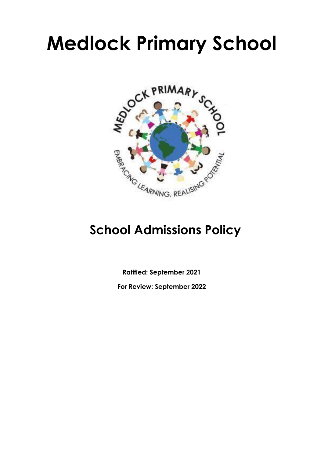# **Medlock Primary School**



# **School Admissions Policy**

**Ratified: September 2021**

**For Review: September 2022**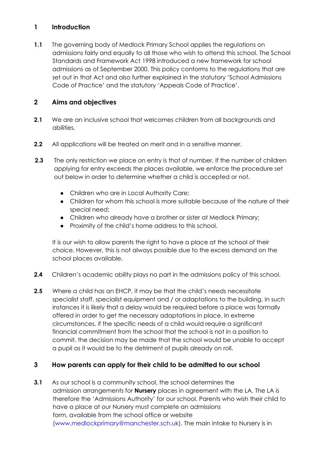# **1 Introduction**

**1.1** The governing body of Medlock Primary School applies the regulations on admissions fairly and equally to all those who wish to attend this school. The School Standards and Framework Act 1998 introduced a new framework for school admissions as of September 2000. This policy conforms to the regulations that are set out in that Act and also further explained in the statutory 'School Admissions Code of Practice' and the statutory 'Appeals Code of Practice'.

## **2 Aims and objectives**

- **2.1** We are an inclusive school that welcomes children from all backgrounds and abilities.
- **2.2** All applications will be treated on merit and in a sensitive manner.
- **2.3** The only restriction we place on entry is that of number. If the number of children applying for entry exceeds the places available, we enforce the procedure set out below in order to determine whether a child is accepted or not.
	- Children who are in Local Authority Care;
	- Children for whom this school is more suitable because of the nature of their special need;
	- Children who already have a brother or sister at Medlock Primary;
	- Proximity of the child's home address to this school.

It is our wish to allow parents the right to have a place at the school of their choice. However, this is not always possible due to the excess demand on the school places available.

- **2.4** Children's academic ability plays no part in the admissions policy of this school.
- **2.5** Where a child has an EHCP, it may be that the child's needs necessitate specialist staff, specialist equipment and / or adaptations to the building. In such instances it is likely that a delay would be required before a place was formally offered in order to get the necessary adaptations in place. In extreme circumstances, if the specific needs of a child would require a significant financial commitment from the school that the school is not in a position to commit, the decision may be made that the school would be unable to accept a pupil as it would be to the detriment of pupils already on roll.

#### **3 How parents can apply for their child to be admitted to our school**

**3.1** As our school is a community school, the school determines the admission arrangements for **Nursery** places in agreement with the LA. The LA is therefore the 'Admissions Authority' for our school. Parents who wish their child to have a place at our Nursery must complete an admissions form, available from the school office or website (www.medlockprimary@manchester.sch.uk). The main intake to Nursery is in